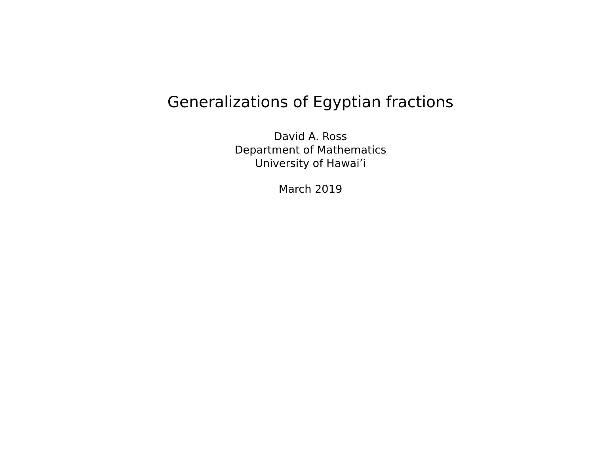# Generalizations of Egyptian fractions

David A. Ross Department of Mathematics University of Hawai'i

March 2019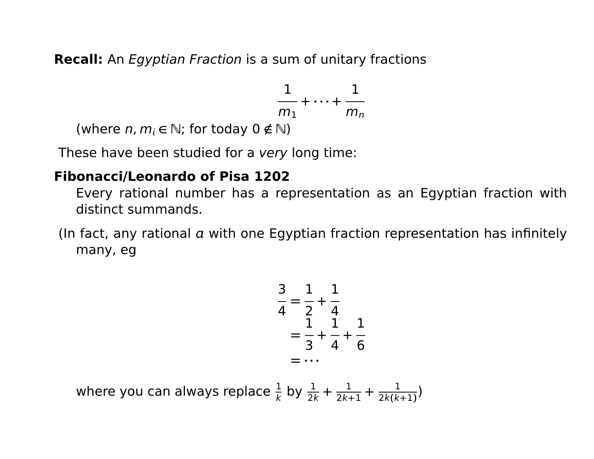**Recall:** An Egyptian Fraction is a sum of unitary fractions

$$
\frac{1}{m_1} + \cdots + \frac{1}{m_n}
$$

(where  $n, m_i \in \mathbb{N}$ ; for today  $0 \notin \mathbb{N}$ )

These have been studied for a very long time:

## **Fibonacci/Leonardo of Pisa 1202**

Every rational number has a representation as an Egyptian fraction with distinct summands.

(In fact, any rational  $\alpha$  with one Egyptian fraction representation has infinitely many, eg

$$
\frac{3}{4} = \frac{1}{2} + \frac{1}{4}
$$
  
=  $\frac{1}{3} + \frac{1}{4} + \frac{1}{6}$   
= ...

where you can always replace  $\frac{1}{k}$  by  $\frac{1}{2k}$  + 1  $\frac{1}{2k+1}$  + 1 2k**(**k**+**1**)** )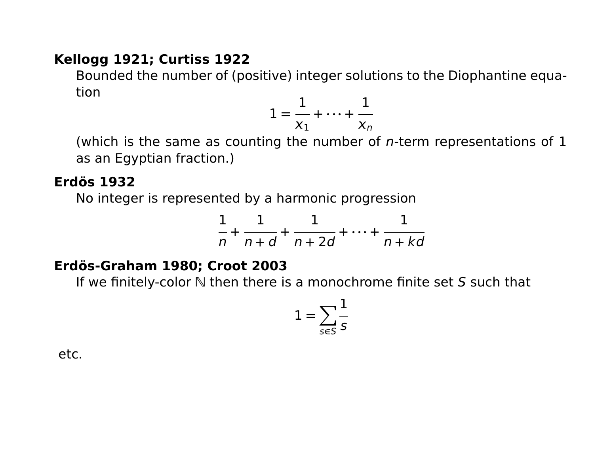#### **Kellogg 1921; Curtiss 1922**

Bounded the number of (positive) integer solutions to the Diophantine equation

$$
1=\frac{1}{x_1}+\cdots+\frac{1}{x_n}
$$

(which is the same as counting the number of  $n$ -term representations of 1 as an Egyptian fraction.)

#### **Erdös 1932**

No integer is represented by a harmonic progression

$$
\frac{1}{n} + \frac{1}{n+d} + \frac{1}{n+2d} + \dots + \frac{1}{n+kd}
$$

#### **Erdös-Graham 1980; Croot 2003**

If we finitely-color  $\mathbb N$  then there is a monochrome finite set S such that

$$
1=\sum_{s\in S}\frac{1}{s}
$$

etc.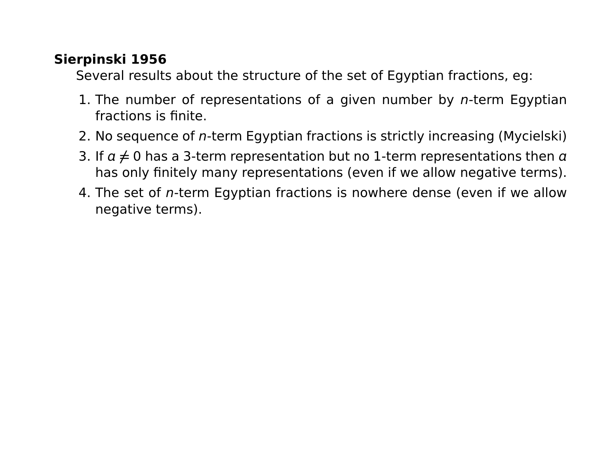## **Sierpinski 1956**

Several results about the structure of the set of Egyptian fractions, eg:

- 1. The number of representations of a given number by  $n$ -term Egyptian fractions is finite.
- 2. No sequence of n-term Egyptian fractions is strictly increasing (Mycielski)
- 3. If  $a \neq 0$  has a 3-term representation but no 1-term representations then  $a$ has only finitely many representations (even if we allow negative terms).
- 4. The set of n-term Egyptian fractions is nowhere dense (even if we allow negative terms).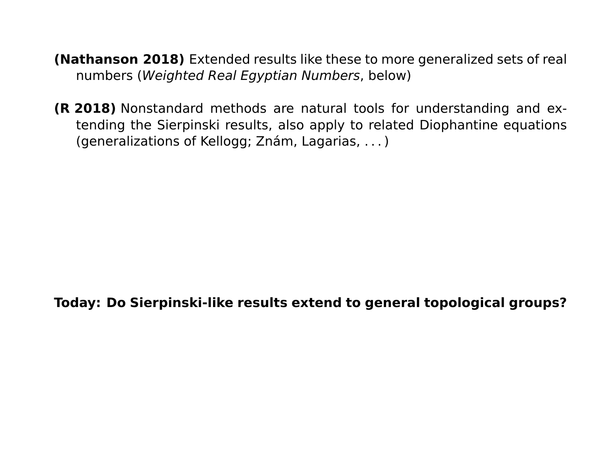- **(Nathanson 2018)** Extended results like these to more generalized sets of real numbers (Weighted Real Egyptian Numbers, below)
- **(R 2018)** Nonstandard methods are natural tools for understanding and extending the Sierpinski results, also apply to related Diophantine equations (generalizations of Kellogg; Znám, Lagarias, . . . )

**Today: Do Sierpinski-like results extend to general topological groups?**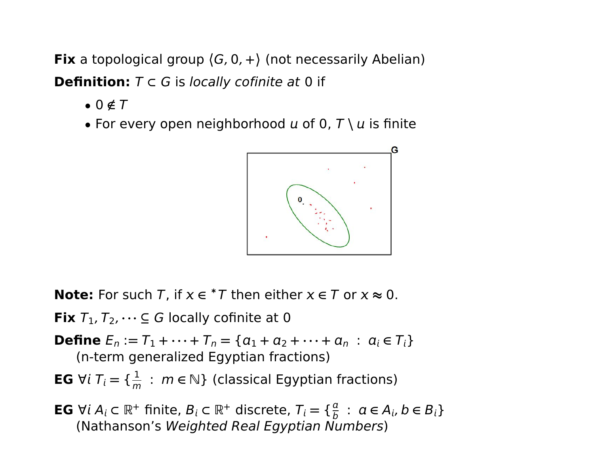**Fix** a topological group  $\langle G, 0, + \rangle$  (not necessarily Abelian) **Definition:**  $T \subset G$  is locally cofinite at 0 if

- $\bullet$  0  $\notin$   $T$
- For every open neighborhood  $u$  of 0,  $T \setminus u$  is finite



**Note:** For such T, if  $x \in {}^*T$  then either  $x \in T$  or  $x \approx 0$ .

**Fix**  $T_1, T_2, \dots \subseteq G$  locally cofinite at 0

**Define** 
$$
E_n := T_1 + \cdots + T_n = \{a_1 + a_2 + \cdots + a_n : a_i \in T_i\}
$$
  
(n-term generalized Egyptian fractions)

**EG** ∀ $i$   $T_i = \{\frac{1}{m}\}$  $\frac{1}{m}$  :  $m \in \mathbb{N}$ } (classical Egyptian fractions)

**EG**  $\forall i A_i \subset \mathbb{R}^+$  finite,  $B_i \subset \mathbb{R}^+$  discrete,  $T_i = \{ \frac{a}{b} \}$  $\frac{a}{b}$  :  $a \in A_i$ ,  $b \in B_i$ (Nathanson's Weighted Real Egyptian Numbers)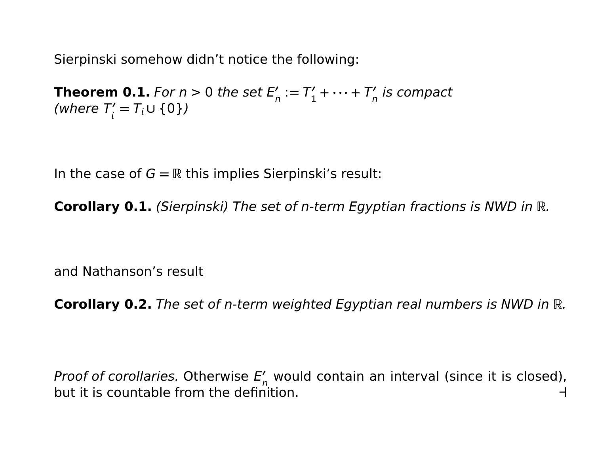Sierpinski somehow didn't notice the following:

**Theorem 0.1.** For  $n > 0$  the set  $E_n'$  $n' := T_1'$  $T'_{1} + \cdots + T'_{n}$  $\frac{n}{n}$  is compact (where T!)  $T'_{i} = T_{i} \cup \{0\})$ 

In the case of  $G = \mathbb{R}$  this implies Sierpinski's result:

**Corollary 0.1.** (Sierpinski) The set of n-term Egyptian fractions is NWD in R.

and Nathanson's result

**Corollary 0.2.** The set of n-term weighted Egyptian real numbers is NWD in R.

Proof of corollaries. Otherwise E'  $n'_n$  would contain an interval (since it is closed), but it is countable from the definition. **a**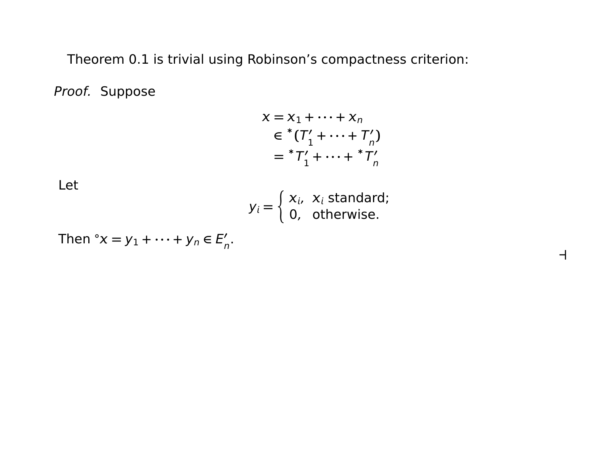Theorem 0.1 is trivial using Robinson's compactness criterion:

Proof. Suppose

$$
x = x_1 + \dots + x_n
$$
  
\n
$$
\in {}^{*}(T'_1 + \dots + T'_n)
$$
  
\n
$$
= {}^{*}T'_1 + \dots + {}^{*}T'_n
$$

Let

$$
y_i = \begin{cases} x_i, & x_i \text{ standard;} \\ 0, & \text{otherwise.} \end{cases}
$$

**a**

Then  ${}^{\circ}X = y_1 + \cdots + y_n \in E'_n$ ,<br>n'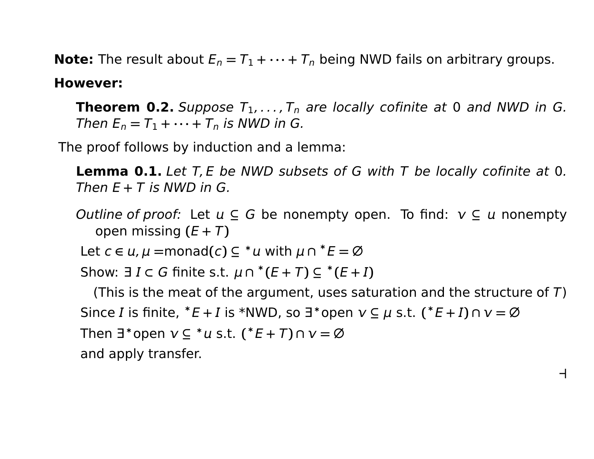**Note:** The result about  $E_n = T_1 + \cdots + T_n$  being NWD fails on arbitrary groups.

### **However:**

**Theorem 0.2.** Suppose  $T_1, \ldots, T_n$  are locally cofinite at 0 and NWD in G. Then  $E_n = T_1 + \cdots + T_n$  is NWD in G.

The proof follows by induction and a lemma:

**Lemma 0.1.** Let T, E be NWD subsets of G with T be locally cofinite at 0. Then  $E + T$  is NWD in G.

*Outline of proof:* Let  $u \subseteq G$  be nonempty open. To find:  $v \subseteq u$  nonempty open missing  $(E + T)$ 

Let  $c \in u$ ,  $\mu$  =monad( $c$ )  $\subseteq$  \*  $u$  with  $\mu$   $\cap$  \*  $E = \emptyset$ 

Show:  $\exists I \subset G$  finite s.t.  $\mu \cap {\text{#}}(E+T) \subseteq {\text{#}}(E+I)$ 

(This is the meat of the argument, uses saturation and the structure of  $T$ ) Since *I* is finite,  $^*E + I$  is \*NWD, so  $\exists^*$ open  $v \subseteq \mu$  s.t.  $(^*E + I) \cap v = \emptyset$  $\exists^*$ open  $v \subseteq {}^*u$  s.t.  $({^*E} + T) \cap v = \varnothing$ and apply transfer.

**a**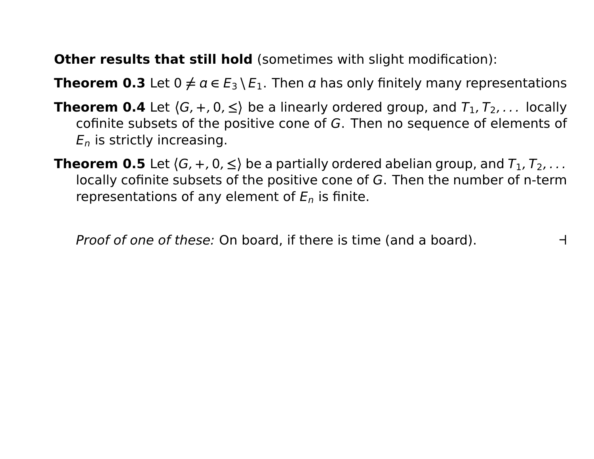**Other results that still hold** (sometimes with slight modification):

**Theorem 0.3** Let  $0 \neq a \in E_3 \setminus E_1$ . Then a has only finitely many representations

- **Theorem 0.4** Let  $\langle G, +, 0, \leq \rangle$  be a linearly ordered group, and  $T_1, T_2, \ldots$  locally cofinite subsets of the positive cone of G. Then no sequence of elements of  $E_n$  is strictly increasing.
- **Theorem 0.5** Let  $\langle G, +, 0, \leq \rangle$  be a partially ordered abelian group, and  $T_1, T_2, \ldots$ locally cofinite subsets of the positive cone of G. Then the number of n-term representations of any element of  $E_n$  is finite.

Proof of one of these: On board, if there is time (and a board). **a**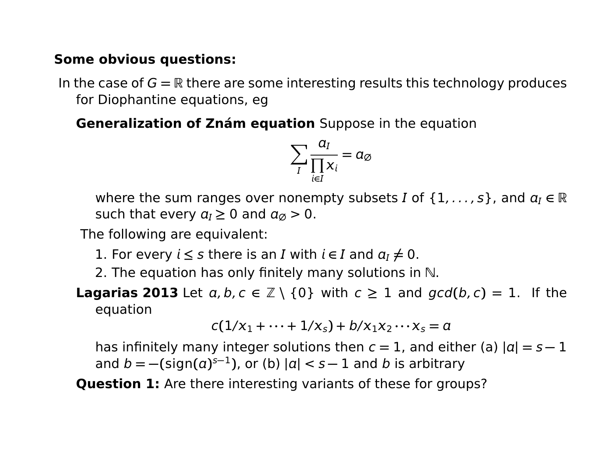#### **Some obvious questions:**

In the case of  $G = \mathbb{R}$  there are some interesting results this technology produces for Diophantine equations, eg

**Generalization of Znám equation** Suppose in the equation

$$
\sum_{I} \frac{a_I}{\prod_{i \in I} x_i} = a_{\emptyset}
$$

where the sum ranges over nonempty subsets *I* of  $\{1, \ldots, s\}$ , and  $a_I \in \mathbb{R}$ such that every  $a<sub>I</sub> \ge 0$  and  $a<sub>\emptyset</sub> > 0$ .

The following are equivalent:

- 1. For every  $i \leq s$  there is an I with  $i \in I$  and  $a_I \neq 0$ .
- 2. The equation has only finitely many solutions in  $\mathbb N$ .
- **Lagarias 2013** Let  $a, b, c \in \mathbb{Z} \setminus \{0\}$  with  $c \ge 1$  and  $gcd(b, c) = 1$ . If the equation

$$
c(1/x_1+\cdots+1/x_s)+b/x_1x_2\cdots x_s=a
$$

has infinitely many integer solutions then  $c = 1$ , and either (a)  $|a| = s - 1$ and  $b = -(\text{sign}(a)^{s-1})$ , or (b)  $|a| < s-1$  and b is arbitrary

**Question 1:** Are there interesting variants of these for groups?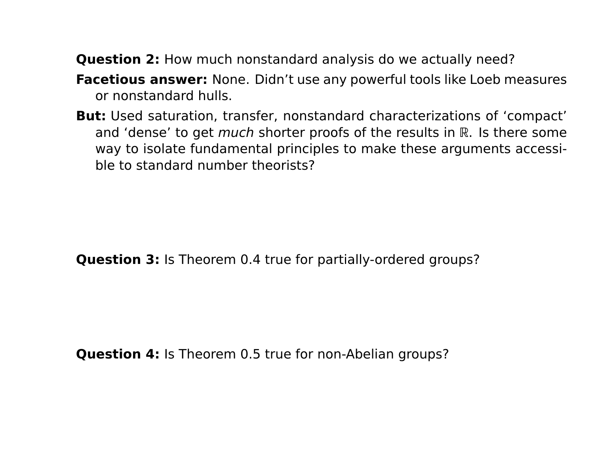**Question 2:** How much nonstandard analysis do we actually need?

- **Facetious answer:** None. Didn't use any powerful tools like Loeb measures or nonstandard hulls.
- **But:** Used saturation, transfer, nonstandard characterizations of 'compact' and 'dense' to get *much* shorter proofs of the results in  $\mathbb R$ . Is there some way to isolate fundamental principles to make these arguments accessible to standard number theorists?

**Question 3:** Is Theorem 0.4 true for partially-ordered groups?

**Question 4:** Is Theorem 0.5 true for non-Abelian groups?